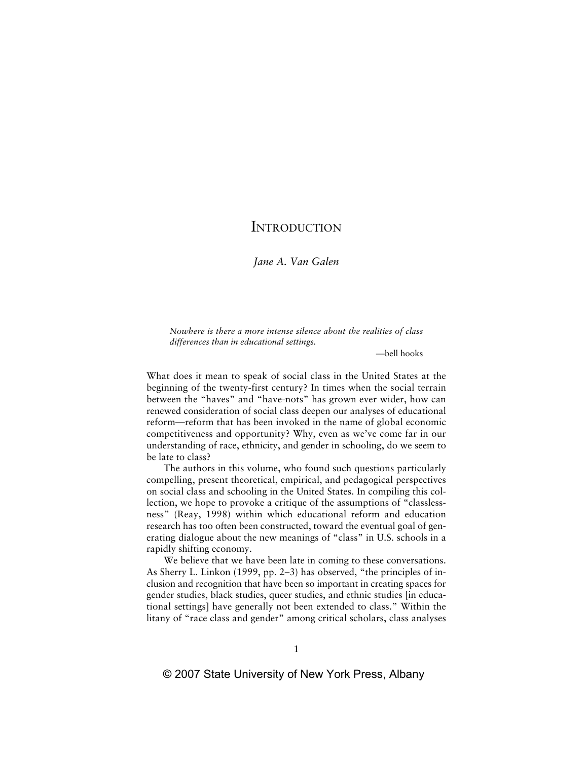# INTRODUCTION

*Jane A. Van Galen*

*Nowhere is there a more intense silence about the realities of class differences than in educational settings.*

—bell hooks

What does it mean to speak of social class in the United States at the beginning of the twenty-first century? In times when the social terrain between the "haves" and "have-nots" has grown ever wider, how can renewed consideration of social class deepen our analyses of educational reform—reform that has been invoked in the name of global economic competitiveness and opportunity? Why, even as we've come far in our understanding of race, ethnicity, and gender in schooling, do we seem to be late to class?

The authors in this volume, who found such questions particularly compelling, present theoretical, empirical, and pedagogical perspectives on social class and schooling in the United States. In compiling this collection, we hope to provoke a critique of the assumptions of "classlessness" (Reay, 1998) within which educational reform and education research has too often been constructed, toward the eventual goal of generating dialogue about the new meanings of "class" in U.S. schools in a rapidly shifting economy.

We believe that we have been late in coming to these conversations. As Sherry L. Linkon (1999, pp. 2–3) has observed, "the principles of inclusion and recognition that have been so important in creating spaces for gender studies, black studies, queer studies, and ethnic studies [in educational settings] have generally not been extended to class." Within the litany of "race class and gender" among critical scholars, class analyses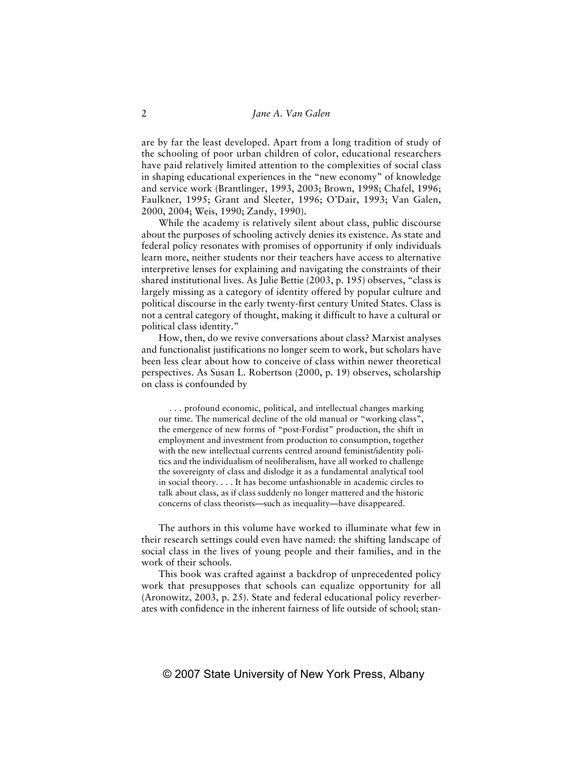are by far the least developed. Apart from a long tradition of study of the schooling of poor urban children of color, educational researchers have paid relatively limited attention to the complexities of social class in shaping educational experiences in the "new economy" of knowledge and service work (Brantlinger, 1993, 2003; Brown, 1998; Chafel, 1996; Faulkner, 1995; Grant and Sleeter, 1996; O'Dair, 1993; Van Galen, 2000, 2004; Weis, 1990; Zandy, 1990).

While the academy is relatively silent about class, public discourse about the purposes of schooling actively denies its existence. As state and federal policy resonates with promises of opportunity if only individuals learn more, neither students nor their teachers have access to alternative interpretive lenses for explaining and navigating the constraints of their shared institutional lives. As Julie Bettie (2003, p. 195) observes, "class is largely missing as a category of identity offered by popular culture and political discourse in the early twenty-first century United States. Class is not a central category of thought, making it difficult to have a cultural or political class identity."

How, then, do we revive conversations about class? Marxist analyses and functionalist justifications no longer seem to work, but scholars have been less clear about how to conceive of class within newer theoretical perspectives. As Susan L. Robertson (2000, p. 19) observes, scholarship on class is confounded by

. . . profound economic, political, and intellectual changes marking our time. The numerical decline of the old manual or "working class", the emergence of new forms of "post-Fordist" production, the shift in employment and investment from production to consumption, together with the new intellectual currents centred around feminist/identity politics and the individualism of neoliberalism, have all worked to challenge the sovereignty of class and dislodge it as a fundamental analytical tool in social theory. . . . It has become unfashionable in academic circles to talk about class, as if class suddenly no longer mattered and the historic concerns of class theorists—such as inequality—have disappeared.

The authors in this volume have worked to illuminate what few in their research settings could even have named: the shifting landscape of social class in the lives of young people and their families, and in the work of their schools.

This book was crafted against a backdrop of unprecedented policy work that presupposes that schools can equalize opportunity for all (Aronowitz, 2003, p. 25). State and federal educational policy reverberates with confidence in the inherent fairness of life outside of school; stan-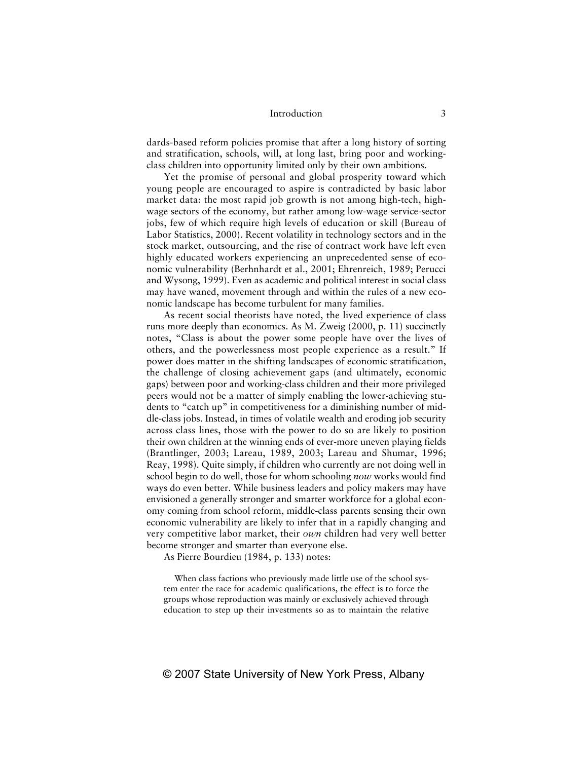dards-based reform policies promise that after a long history of sorting and stratification, schools, will, at long last, bring poor and workingclass children into opportunity limited only by their own ambitions.

Yet the promise of personal and global prosperity toward which young people are encouraged to aspire is contradicted by basic labor market data: the most rapid job growth is not among high-tech, highwage sectors of the economy, but rather among low-wage service-sector jobs, few of which require high levels of education or skill (Bureau of Labor Statistics, 2000). Recent volatility in technology sectors and in the stock market, outsourcing, and the rise of contract work have left even highly educated workers experiencing an unprecedented sense of economic vulnerability (Berhnhardt et al., 2001; Ehrenreich, 1989; Perucci and Wysong, 1999). Even as academic and political interest in social class may have waned, movement through and within the rules of a new economic landscape has become turbulent for many families.

As recent social theorists have noted, the lived experience of class runs more deeply than economics. As M. Zweig (2000, p. 11) succinctly notes, "Class is about the power some people have over the lives of others, and the powerlessness most people experience as a result." If power does matter in the shifting landscapes of economic stratification, the challenge of closing achievement gaps (and ultimately, economic gaps) between poor and working-class children and their more privileged peers would not be a matter of simply enabling the lower-achieving students to "catch up" in competitiveness for a diminishing number of middle-class jobs. Instead, in times of volatile wealth and eroding job security across class lines, those with the power to do so are likely to position their own children at the winning ends of ever-more uneven playing fields (Brantlinger, 2003; Lareau, 1989, 2003; Lareau and Shumar, 1996; Reay, 1998). Quite simply, if children who currently are not doing well in school begin to do well, those for whom schooling *now* works would find ways do even better. While business leaders and policy makers may have envisioned a generally stronger and smarter workforce for a global economy coming from school reform, middle-class parents sensing their own economic vulnerability are likely to infer that in a rapidly changing and very competitive labor market, their *own* children had very well better become stronger and smarter than everyone else.

As Pierre Bourdieu (1984, p. 133) notes:

When class factions who previously made little use of the school system enter the race for academic qualifications, the effect is to force the groups whose reproduction was mainly or exclusively achieved through education to step up their investments so as to maintain the relative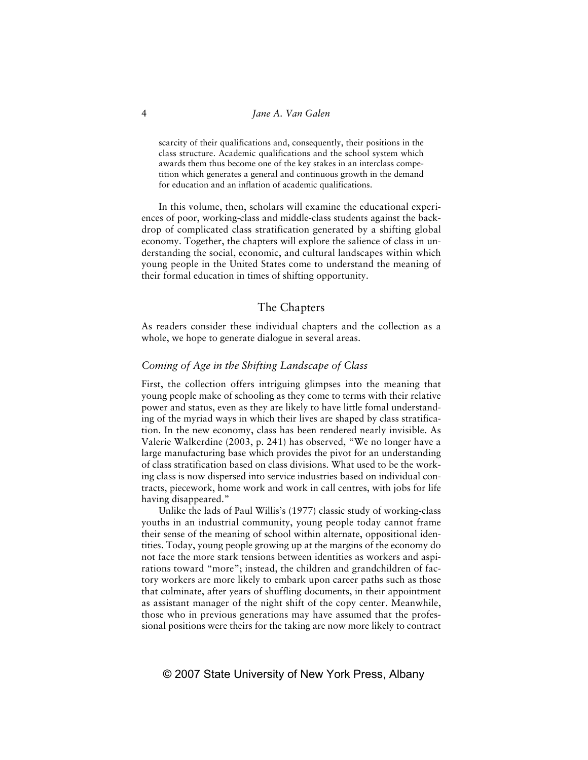scarcity of their qualifications and, consequently, their positions in the class structure. Academic qualifications and the school system which awards them thus become one of the key stakes in an interclass competition which generates a general and continuous growth in the demand for education and an inflation of academic qualifications.

In this volume, then, scholars will examine the educational experiences of poor, working-class and middle-class students against the backdrop of complicated class stratification generated by a shifting global economy. Together, the chapters will explore the salience of class in understanding the social, economic, and cultural landscapes within which young people in the United States come to understand the meaning of their formal education in times of shifting opportunity.

# The Chapters

As readers consider these individual chapters and the collection as a whole, we hope to generate dialogue in several areas.

### *Coming of Age in the Shifting Landscape of Class*

First, the collection offers intriguing glimpses into the meaning that young people make of schooling as they come to terms with their relative power and status, even as they are likely to have little fomal understanding of the myriad ways in which their lives are shaped by class stratification. In the new economy, class has been rendered nearly invisible. As Valerie Walkerdine (2003, p. 241) has observed, "We no longer have a large manufacturing base which provides the pivot for an understanding of class stratification based on class divisions. What used to be the working class is now dispersed into service industries based on individual contracts, piecework, home work and work in call centres, with jobs for life having disappeared."

Unlike the lads of Paul Willis's (1977) classic study of working-class youths in an industrial community, young people today cannot frame their sense of the meaning of school within alternate, oppositional identities. Today, young people growing up at the margins of the economy do not face the more stark tensions between identities as workers and aspirations toward "more"; instead, the children and grandchildren of factory workers are more likely to embark upon career paths such as those that culminate, after years of shuffling documents, in their appointment as assistant manager of the night shift of the copy center. Meanwhile, those who in previous generations may have assumed that the professional positions were theirs for the taking are now more likely to contract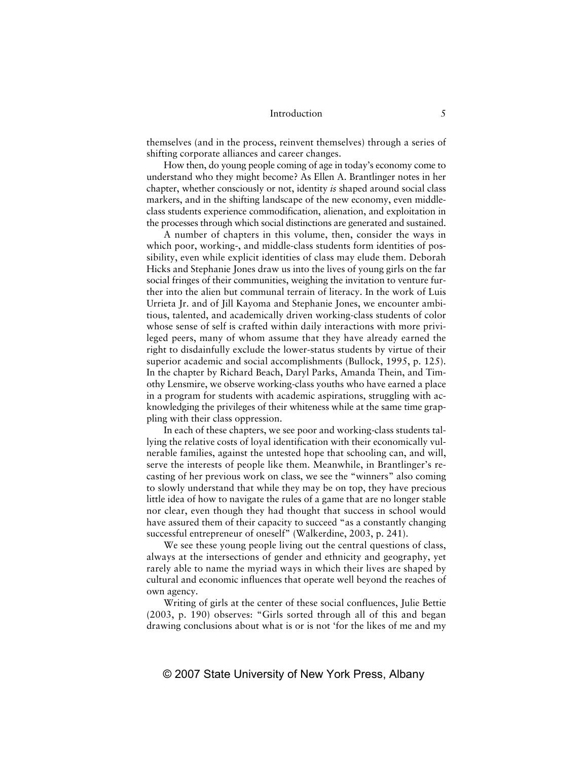themselves (and in the process, reinvent themselves) through a series of shifting corporate alliances and career changes.

How then, do young people coming of age in today's economy come to understand who they might become? As Ellen A. Brantlinger notes in her chapter, whether consciously or not, identity *is* shaped around social class markers, and in the shifting landscape of the new economy, even middleclass students experience commodification, alienation, and exploitation in the processes through which social distinctions are generated and sustained.

A number of chapters in this volume, then, consider the ways in which poor, working-, and middle-class students form identities of possibility, even while explicit identities of class may elude them. Deborah Hicks and Stephanie Jones draw us into the lives of young girls on the far social fringes of their communities, weighing the invitation to venture further into the alien but communal terrain of literacy. In the work of Luis Urrieta Jr. and of Jill Kayoma and Stephanie Jones, we encounter ambitious, talented, and academically driven working-class students of color whose sense of self is crafted within daily interactions with more privileged peers, many of whom assume that they have already earned the right to disdainfully exclude the lower-status students by virtue of their superior academic and social accomplishments (Bullock, 1995, p. 125). In the chapter by Richard Beach, Daryl Parks, Amanda Thein, and Timothy Lensmire, we observe working-class youths who have earned a place in a program for students with academic aspirations, struggling with acknowledging the privileges of their whiteness while at the same time grappling with their class oppression.

In each of these chapters, we see poor and working-class students tallying the relative costs of loyal identification with their economically vulnerable families, against the untested hope that schooling can, and will, serve the interests of people like them. Meanwhile, in Brantlinger's recasting of her previous work on class, we see the "winners" also coming to slowly understand that while they may be on top, they have precious little idea of how to navigate the rules of a game that are no longer stable nor clear, even though they had thought that success in school would have assured them of their capacity to succeed "as a constantly changing successful entrepreneur of oneself" (Walkerdine, 2003, p. 241).

We see these young people living out the central questions of class, always at the intersections of gender and ethnicity and geography, yet rarely able to name the myriad ways in which their lives are shaped by cultural and economic influences that operate well beyond the reaches of own agency.

Writing of girls at the center of these social confluences, Julie Bettie (2003, p. 190) observes: "Girls sorted through all of this and began drawing conclusions about what is or is not 'for the likes of me and my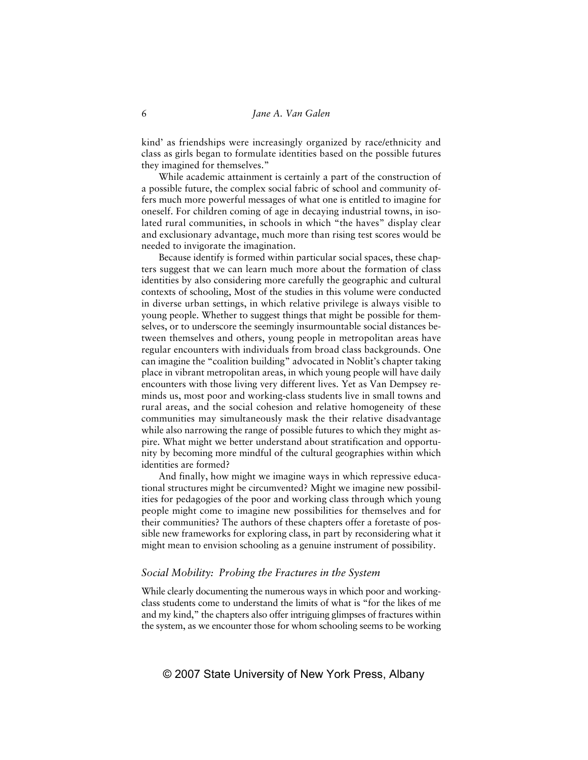kind' as friendships were increasingly organized by race/ethnicity and class as girls began to formulate identities based on the possible futures they imagined for themselves."

While academic attainment is certainly a part of the construction of a possible future, the complex social fabric of school and community offers much more powerful messages of what one is entitled to imagine for oneself. For children coming of age in decaying industrial towns, in isolated rural communities, in schools in which "the haves" display clear and exclusionary advantage, much more than rising test scores would be needed to invigorate the imagination.

Because identify is formed within particular social spaces, these chapters suggest that we can learn much more about the formation of class identities by also considering more carefully the geographic and cultural contexts of schooling, Most of the studies in this volume were conducted in diverse urban settings, in which relative privilege is always visible to young people. Whether to suggest things that might be possible for themselves, or to underscore the seemingly insurmountable social distances between themselves and others, young people in metropolitan areas have regular encounters with individuals from broad class backgrounds. One can imagine the "coalition building" advocated in Noblit's chapter taking place in vibrant metropolitan areas, in which young people will have daily encounters with those living very different lives. Yet as Van Dempsey reminds us, most poor and working-class students live in small towns and rural areas, and the social cohesion and relative homogeneity of these communities may simultaneously mask the their relative disadvantage while also narrowing the range of possible futures to which they might aspire. What might we better understand about stratification and opportunity by becoming more mindful of the cultural geographies within which identities are formed?

And finally, how might we imagine ways in which repressive educational structures might be circumvented? Might we imagine new possibilities for pedagogies of the poor and working class through which young people might come to imagine new possibilities for themselves and for their communities? The authors of these chapters offer a foretaste of possible new frameworks for exploring class, in part by reconsidering what it might mean to envision schooling as a genuine instrument of possibility.

### *Social Mobility: Probing the Fractures in the System*

While clearly documenting the numerous ways in which poor and workingclass students come to understand the limits of what is "for the likes of me and my kind," the chapters also offer intriguing glimpses of fractures within the system, as we encounter those for whom schooling seems to be working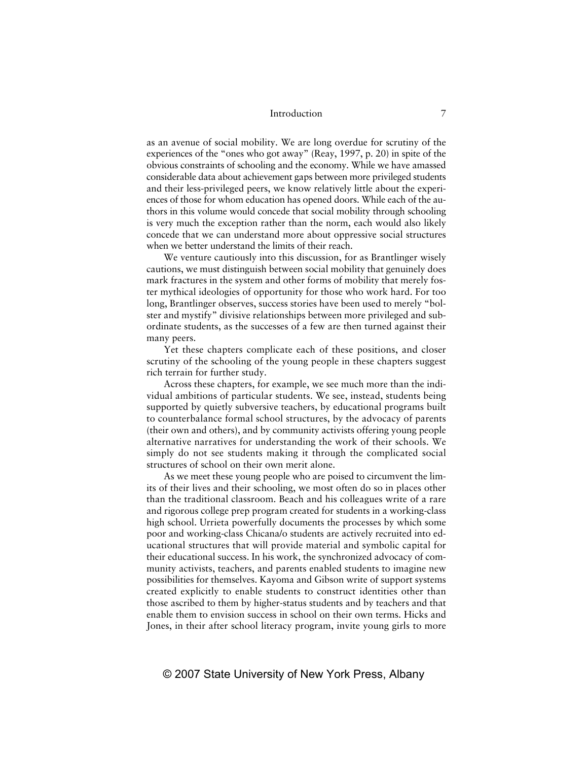as an avenue of social mobility. We are long overdue for scrutiny of the experiences of the "ones who got away" (Reay, 1997, p. 20) in spite of the obvious constraints of schooling and the economy. While we have amassed considerable data about achievement gaps between more privileged students and their less-privileged peers, we know relatively little about the experiences of those for whom education has opened doors. While each of the authors in this volume would concede that social mobility through schooling is very much the exception rather than the norm, each would also likely concede that we can understand more about oppressive social structures when we better understand the limits of their reach.

We venture cautiously into this discussion, for as Brantlinger wisely cautions, we must distinguish between social mobility that genuinely does mark fractures in the system and other forms of mobility that merely foster mythical ideologies of opportunity for those who work hard. For too long, Brantlinger observes, success stories have been used to merely "bolster and mystify" divisive relationships between more privileged and subordinate students, as the successes of a few are then turned against their many peers.

Yet these chapters complicate each of these positions, and closer scrutiny of the schooling of the young people in these chapters suggest rich terrain for further study.

Across these chapters, for example, we see much more than the individual ambitions of particular students. We see, instead, students being supported by quietly subversive teachers, by educational programs built to counterbalance formal school structures, by the advocacy of parents (their own and others), and by community activists offering young people alternative narratives for understanding the work of their schools. We simply do not see students making it through the complicated social structures of school on their own merit alone.

As we meet these young people who are poised to circumvent the limits of their lives and their schooling, we most often do so in places other than the traditional classroom. Beach and his colleagues write of a rare and rigorous college prep program created for students in a working-class high school. Urrieta powerfully documents the processes by which some poor and working-class Chicana/o students are actively recruited into educational structures that will provide material and symbolic capital for their educational success. In his work, the synchronized advocacy of community activists, teachers, and parents enabled students to imagine new possibilities for themselves. Kayoma and Gibson write of support systems created explicitly to enable students to construct identities other than those ascribed to them by higher-status students and by teachers and that enable them to envision success in school on their own terms. Hicks and Jones, in their after school literacy program, invite young girls to more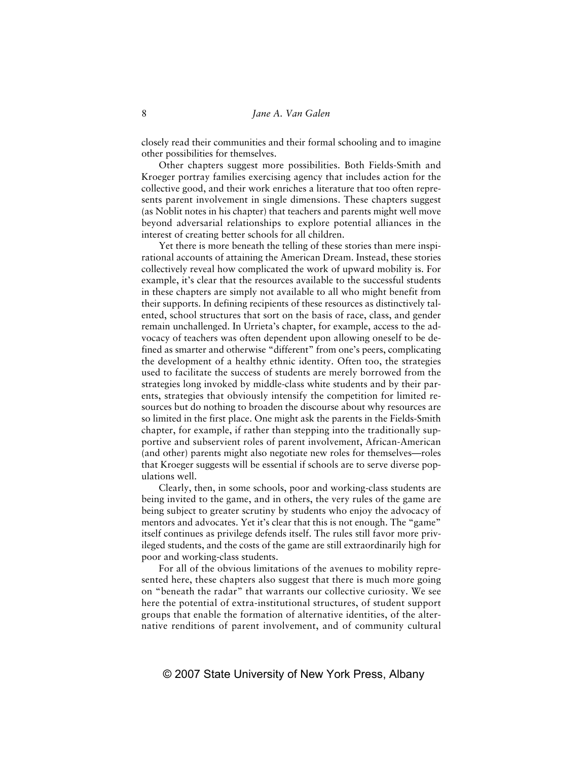closely read their communities and their formal schooling and to imagine other possibilities for themselves.

Other chapters suggest more possibilities. Both Fields-Smith and Kroeger portray families exercising agency that includes action for the collective good, and their work enriches a literature that too often represents parent involvement in single dimensions. These chapters suggest (as Noblit notes in his chapter) that teachers and parents might well move beyond adversarial relationships to explore potential alliances in the interest of creating better schools for all children.

Yet there is more beneath the telling of these stories than mere inspirational accounts of attaining the American Dream. Instead, these stories collectively reveal how complicated the work of upward mobility is. For example, it's clear that the resources available to the successful students in these chapters are simply not available to all who might benefit from their supports. In defining recipients of these resources as distinctively talented, school structures that sort on the basis of race, class, and gender remain unchallenged. In Urrieta's chapter, for example, access to the advocacy of teachers was often dependent upon allowing oneself to be defined as smarter and otherwise "different" from one's peers, complicating the development of a healthy ethnic identity. Often too, the strategies used to facilitate the success of students are merely borrowed from the strategies long invoked by middle-class white students and by their parents, strategies that obviously intensify the competition for limited resources but do nothing to broaden the discourse about why resources are so limited in the first place. One might ask the parents in the Fields-Smith chapter, for example, if rather than stepping into the traditionally supportive and subservient roles of parent involvement, African-American (and other) parents might also negotiate new roles for themselves—roles that Kroeger suggests will be essential if schools are to serve diverse populations well.

Clearly, then, in some schools, poor and working-class students are being invited to the game, and in others, the very rules of the game are being subject to greater scrutiny by students who enjoy the advocacy of mentors and advocates. Yet it's clear that this is not enough. The "game" itself continues as privilege defends itself. The rules still favor more privileged students, and the costs of the game are still extraordinarily high for poor and working-class students.

For all of the obvious limitations of the avenues to mobility represented here, these chapters also suggest that there is much more going on "beneath the radar" that warrants our collective curiosity. We see here the potential of extra-institutional structures, of student support groups that enable the formation of alternative identities, of the alternative renditions of parent involvement, and of community cultural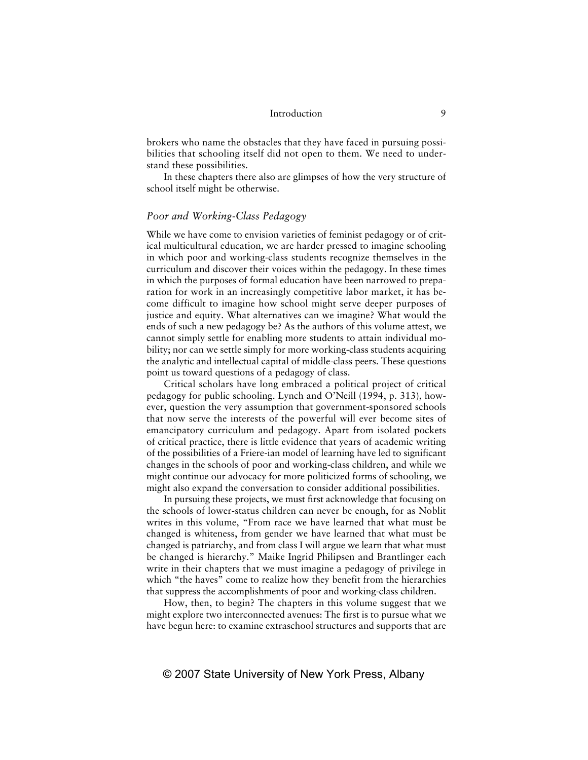brokers who name the obstacles that they have faced in pursuing possibilities that schooling itself did not open to them. We need to understand these possibilities.

In these chapters there also are glimpses of how the very structure of school itself might be otherwise.

#### *Poor and Working-Class Pedagogy*

While we have come to envision varieties of feminist pedagogy or of critical multicultural education, we are harder pressed to imagine schooling in which poor and working-class students recognize themselves in the curriculum and discover their voices within the pedagogy. In these times in which the purposes of formal education have been narrowed to preparation for work in an increasingly competitive labor market, it has become difficult to imagine how school might serve deeper purposes of justice and equity. What alternatives can we imagine? What would the ends of such a new pedagogy be? As the authors of this volume attest, we cannot simply settle for enabling more students to attain individual mobility; nor can we settle simply for more working-class students acquiring the analytic and intellectual capital of middle-class peers. These questions point us toward questions of a pedagogy of class.

Critical scholars have long embraced a political project of critical pedagogy for public schooling. Lynch and O'Neill (1994, p. 313), however, question the very assumption that government-sponsored schools that now serve the interests of the powerful will ever become sites of emancipatory curriculum and pedagogy. Apart from isolated pockets of critical practice, there is little evidence that years of academic writing of the possibilities of a Friere-ian model of learning have led to significant changes in the schools of poor and working-class children, and while we might continue our advocacy for more politicized forms of schooling, we might also expand the conversation to consider additional possibilities.

In pursuing these projects, we must first acknowledge that focusing on the schools of lower-status children can never be enough, for as Noblit writes in this volume, "From race we have learned that what must be changed is whiteness, from gender we have learned that what must be changed is patriarchy, and from class I will argue we learn that what must be changed is hierarchy." Maike Ingrid Philipsen and Brantlinger each write in their chapters that we must imagine a pedagogy of privilege in which "the haves" come to realize how they benefit from the hierarchies that suppress the accomplishments of poor and working-class children.

How, then, to begin? The chapters in this volume suggest that we might explore two interconnected avenues: The first is to pursue what we have begun here: to examine extraschool structures and supports that are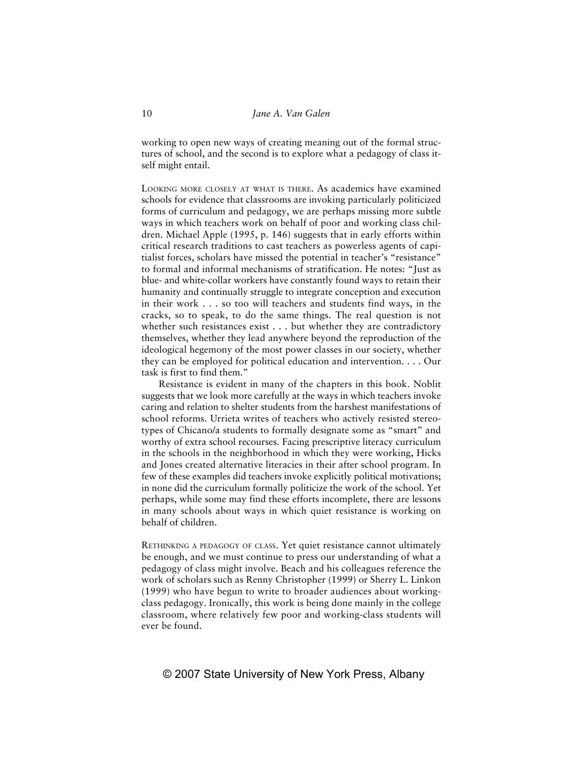working to open new ways of creating meaning out of the formal structures of school, and the second is to explore what a pedagogy of class itself might entail.

LOOKING MORE CLOSELY AT WHAT IS THERE. As academics have examined schools for evidence that classrooms are invoking particularly politicized forms of curriculum and pedagogy, we are perhaps missing more subtle ways in which teachers work on behalf of poor and working class children. Michael Apple (1995, p. 146) suggests that in early efforts within critical research traditions to cast teachers as powerless agents of capitialist forces, scholars have missed the potential in teacher's "resistance" to formal and informal mechanisms of stratification. He notes: "Just as blue- and white-collar workers have constantly found ways to retain their humanity and continually struggle to integrate conception and execution in their work . . . so too will teachers and students find ways, in the cracks, so to speak, to do the same things. The real question is not whether such resistances exist . . . but whether they are contradictory themselves, whether they lead anywhere beyond the reproduction of the ideological hegemony of the most power classes in our society, whether they can be employed for political education and intervention. . . . Our task is first to find them."

Resistance is evident in many of the chapters in this book. Noblit suggests that we look more carefully at the ways in which teachers invoke caring and relation to shelter students from the harshest manifestations of school reforms. Urrieta writes of teachers who actively resisted stereotypes of Chicano/a students to formally designate some as "smart" and worthy of extra school recourses. Facing prescriptive literacy curriculum in the schools in the neighborhood in which they were working, Hicks and Jones created alternative literacies in their after school program. In few of these examples did teachers invoke explicitly political motivations; in none did the curriculum formally politicize the work of the school. Yet perhaps, while some may find these efforts incomplete, there are lessons in many schools about ways in which quiet resistance is working on behalf of children.

RETHINKING A PEDAGOGY OF CLASS. Yet quiet resistance cannot ultimately be enough, and we must continue to press our understanding of what a pedagogy of class might involve. Beach and his colleagues reference the work of scholars such as Renny Christopher (1999) or Sherry L. Linkon (1999) who have begun to write to broader audiences about workingclass pedagogy. Ironically, this work is being done mainly in the college classroom, where relatively few poor and working-class students will ever be found.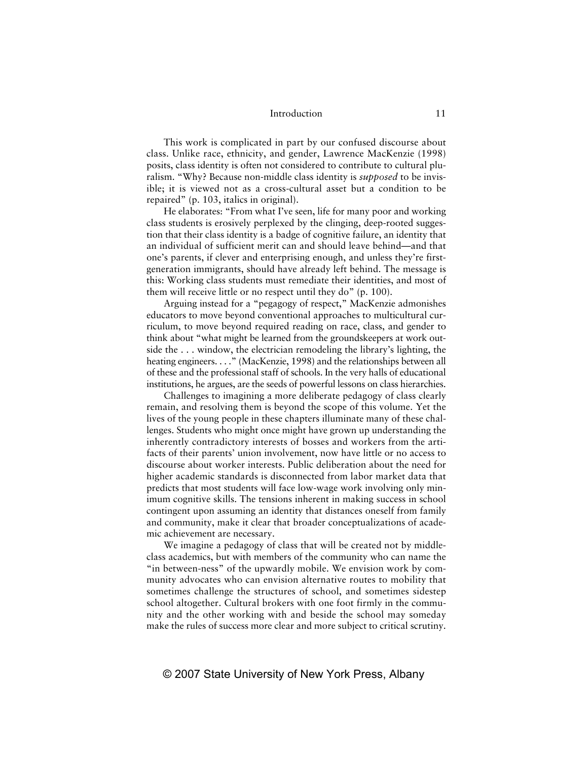This work is complicated in part by our confused discourse about class. Unlike race, ethnicity, and gender, Lawrence MacKenzie (1998) posits, class identity is often not considered to contribute to cultural pluralism. "Why? Because non-middle class identity is *supposed* to be invisible; it is viewed not as a cross-cultural asset but a condition to be repaired" (p. 103, italics in original).

He elaborates: "From what I've seen, life for many poor and working class students is erosively perplexed by the clinging, deep-rooted suggestion that their class identity is a badge of cognitive failure, an identity that an individual of sufficient merit can and should leave behind—and that one's parents, if clever and enterprising enough, and unless they're firstgeneration immigrants, should have already left behind. The message is this: Working class students must remediate their identities, and most of them will receive little or no respect until they do" (p. 100).

Arguing instead for a "pegagogy of respect," MacKenzie admonishes educators to move beyond conventional approaches to multicultural curriculum, to move beyond required reading on race, class, and gender to think about "what might be learned from the groundskeepers at work outside the . . . window, the electrician remodeling the library's lighting, the heating engineers. . . . " (MacKenzie, 1998) and the relationships between all of these and the professional staff of schools. In the very halls of educational institutions, he argues, are the seeds of powerful lessons on class hierarchies.

Challenges to imagining a more deliberate pedagogy of class clearly remain, and resolving them is beyond the scope of this volume. Yet the lives of the young people in these chapters illuminate many of these challenges. Students who might once might have grown up understanding the inherently contradictory interests of bosses and workers from the artifacts of their parents' union involvement, now have little or no access to discourse about worker interests. Public deliberation about the need for higher academic standards is disconnected from labor market data that predicts that most students will face low-wage work involving only minimum cognitive skills. The tensions inherent in making success in school contingent upon assuming an identity that distances oneself from family and community, make it clear that broader conceptualizations of academic achievement are necessary.

We imagine a pedagogy of class that will be created not by middleclass academics, but with members of the community who can name the "in between-ness" of the upwardly mobile. We envision work by community advocates who can envision alternative routes to mobility that sometimes challenge the structures of school, and sometimes sidestep school altogether. Cultural brokers with one foot firmly in the community and the other working with and beside the school may someday make the rules of success more clear and more subject to critical scrutiny.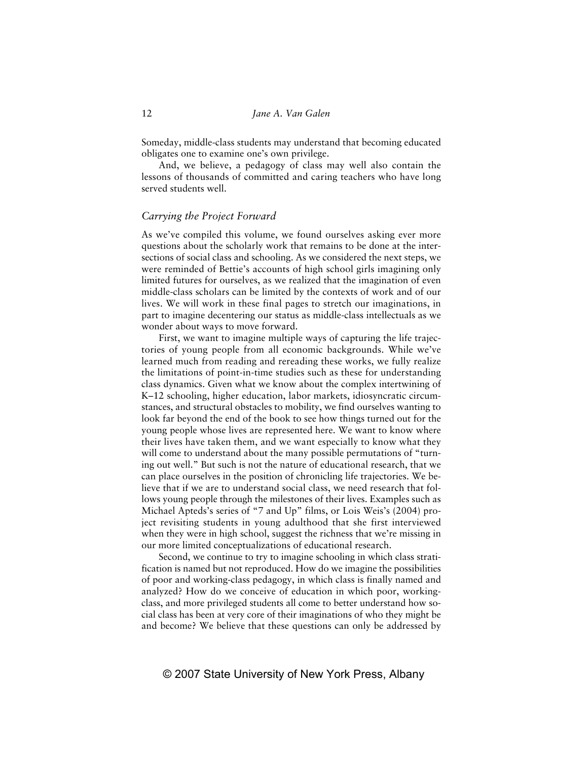Someday, middle-class students may understand that becoming educated obligates one to examine one's own privilege.

And, we believe, a pedagogy of class may well also contain the lessons of thousands of committed and caring teachers who have long served students well.

#### *Carrying the Project Forward*

As we've compiled this volume, we found ourselves asking ever more questions about the scholarly work that remains to be done at the intersections of social class and schooling. As we considered the next steps, we were reminded of Bettie's accounts of high school girls imagining only limited futures for ourselves, as we realized that the imagination of even middle-class scholars can be limited by the contexts of work and of our lives. We will work in these final pages to stretch our imaginations, in part to imagine decentering our status as middle-class intellectuals as we wonder about ways to move forward.

First, we want to imagine multiple ways of capturing the life trajectories of young people from all economic backgrounds. While we've learned much from reading and rereading these works, we fully realize the limitations of point-in-time studies such as these for understanding class dynamics. Given what we know about the complex intertwining of K–12 schooling, higher education, labor markets, idiosyncratic circumstances, and structural obstacles to mobility, we find ourselves wanting to look far beyond the end of the book to see how things turned out for the young people whose lives are represented here. We want to know where their lives have taken them, and we want especially to know what they will come to understand about the many possible permutations of "turning out well." But such is not the nature of educational research, that we can place ourselves in the position of chronicling life trajectories. We believe that if we are to understand social class, we need research that follows young people through the milestones of their lives. Examples such as Michael Apteds's series of "7 and Up" films, or Lois Weis's (2004) project revisiting students in young adulthood that she first interviewed when they were in high school, suggest the richness that we're missing in our more limited conceptualizations of educational research.

Second, we continue to try to imagine schooling in which class stratification is named but not reproduced. How do we imagine the possibilities of poor and working-class pedagogy, in which class is finally named and analyzed? How do we conceive of education in which poor, workingclass, and more privileged students all come to better understand how social class has been at very core of their imaginations of who they might be and become? We believe that these questions can only be addressed by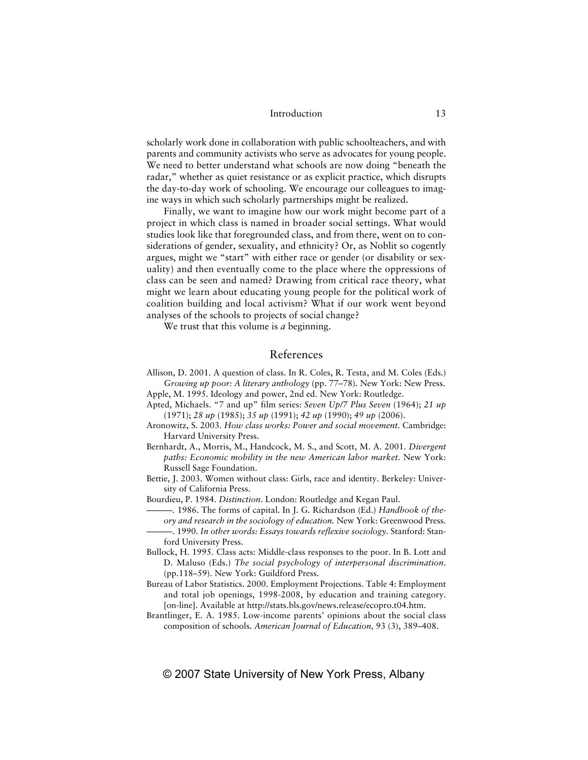scholarly work done in collaboration with public schoolteachers, and with parents and community activists who serve as advocates for young people. We need to better understand what schools are now doing "beneath the radar," whether as quiet resistance or as explicit practice, which disrupts the day-to-day work of schooling. We encourage our colleagues to imagine ways in which such scholarly partnerships might be realized.

Finally, we want to imagine how our work might become part of a project in which class is named in broader social settings. What would studies look like that foregrounded class, and from there, went on to considerations of gender, sexuality, and ethnicity? Or, as Noblit so cogently argues, might we "start" with either race or gender (or disability or sexuality) and then eventually come to the place where the oppressions of class can be seen and named? Drawing from critical race theory, what might we learn about educating young people for the political work of coalition building and local activism? What if our work went beyond analyses of the schools to projects of social change?

We trust that this volume is *a* beginning.

### References

- Allison, D. 2001. A question of class. In R. Coles, R. Testa, and M. Coles (Eds.) *Growing up poor: A literary anthology* (pp. 77–78). New York: New Press. Apple, M. 1995. Ideology and power, 2nd ed. New York: Routledge.
- Apted, Michaels. "7 and up" film series: *Seven Up/7 Plus Seven* (1964); *21 up*

(1971); *28 up* (1985); *35 up* (1991); *42 up* (1990); *49 up* (2006).

- Aronowitz, S. 2003. *How class works: Power and social movement*. Cambridge: Harvard University Press.
- Bernhardt, A., Morris, M., Handcock, M. S., and Scott, M. A. 2001. *Divergent paths: Economic mobility in the new American labor market*. New York: Russell Sage Foundation.
- Bettie, J. 2003. Women without class: Girls, race and identity. Berkeley: University of California Press.
- Bourdieu, P. 1984. *Distinction*. London: Routledge and Kegan Paul.
	- ———. 1986. The forms of capital. In J. G. Richardson (Ed.) *Handbook of the-*
	- *ory and research in the sociology of education.* New York: Greenwood Press. ———. 1990. *In other words: Essays towards reflexive sociology.* Stanford: Stan-

- Bullock, H. 1995. Class acts: Middle-class responses to the poor. In B. Lott and D. Maluso (Eds.) *The social psychology of interpersonal discrimination*. (pp.118–59). New York: Guildford Press.
- Bureau of Labor Statistics. 2000. Employment Projections. Table 4: Employment and total job openings, 1998-2008, by education and training category. [on-line]. Available at http://stats.bls.gov/news.release/ecopro.t04.htm.
- Brantlinger, E. A. 1985. Low-income parents' opinions about the social class composition of schools. *American Journal of Education,* 93 (3), 389–408.

ford University Press.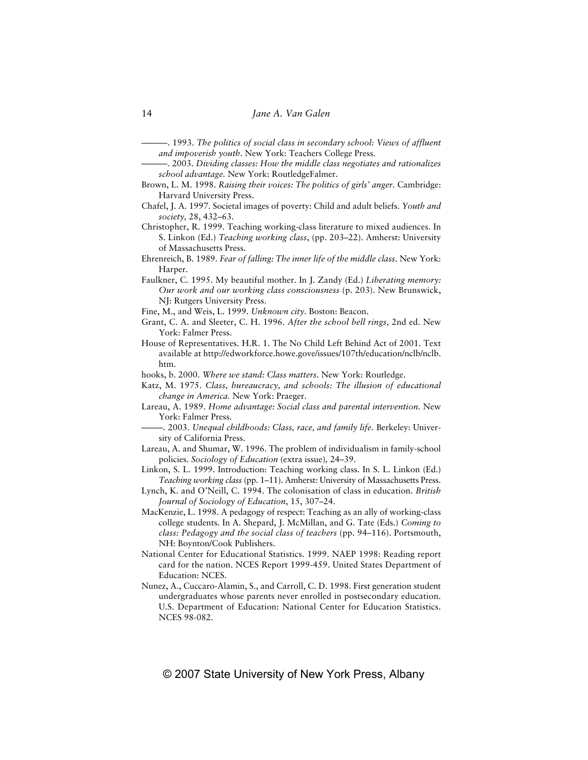- ———. 1993. *The politics of social class in secondary school: Views of affluent and impoverish youth*. New York: Teachers College Press.
- ———. 2003. *Dividing classes: How the middle class negotiates and rationalizes school advantage.* New York: RoutledgeFalmer.
- Brown, L. M. 1998. *Raising their voices: The politics of girls' anger.* Cambridge: Harvard University Press.
- Chafel, J. A. 1997. Societal images of poverty: Child and adult beliefs. *Youth and society,* 28, 432–63.
- Christopher, R. 1999. Teaching working-class literature to mixed audiences. In S. Linkon (Ed.) *Teaching working class*, (pp. 203–22). Amherst: University of Massachusetts Press.
- Ehrenreich, B. 1989. *Fear of falling: The inner life of the middle class*. New York: Harper.
- Faulkner, C. 1995. My beautiful mother. In J. Zandy (Ed.) *Liberating memory: Our work and our working class consciousness* (p. 203). New Brunswick, NJ: Rutgers University Press.
- Fine, M., and Weis, L. 1999. *Unknown city*. Boston: Beacon.
- Grant, C. A. and Sleeter, C. H. 1996. *After the school bell rings,* 2nd ed. New York: Falmer Press.
- House of Representatives. H.R. 1. The No Child Left Behind Act of 2001. Text available at http://edworkforce.howe.gove/issues/107th/education/nclb/nclb. htm.
- hooks, b. 2000. *Where we stand: Class matters*. New York: Routledge.
- Katz, M. 1975. *Class, bureaucracy, and schools: The illusion of educational change in America.* New York: Praeger.
- Lareau, A. 1989. *Home advantage: Social class and parental intervention.* New York: Falmer Press.
- ——–. 2003. *Unequal childhoods: Class, race, and family life.* Berkeley: University of California Press.
- Lareau, A. and Shumar, W. 1996. The problem of individualism in family-school policies. *Sociology of Education* (extra issue)*,* 24–39.
- Linkon, S. L. 1999. Introduction: Teaching working class. In S. L. Linkon (Ed.) *Teaching working class* (pp. 1–11). Amherst: University of Massachusetts Press.
- Lynch, K. and O'Neill, C. 1994. The colonisation of class in education. *British Journal of Sociology of Education*, 15, 307–24.
- MacKenzie, L. 1998. A pedagogy of respect: Teaching as an ally of working-class college students. In A. Shepard, J. McMillan, and G. Tate (Eds.) *Coming to class: Pedagogy and the social class of teachers* (pp. 94–116). Portsmouth, NH: Boynton/Cook Publishers.
- National Center for Educational Statistics. 1999. NAEP 1998: Reading report card for the nation. NCES Report 1999-459. United States Department of Education: NCES.
- Nunez, A., Cuccaro-Alamin, S., and Carroll, C. D. 1998. First generation student undergraduates whose parents never enrolled in postsecondary education. U.S. Department of Education: National Center for Education Statistics. NCES 98-082.